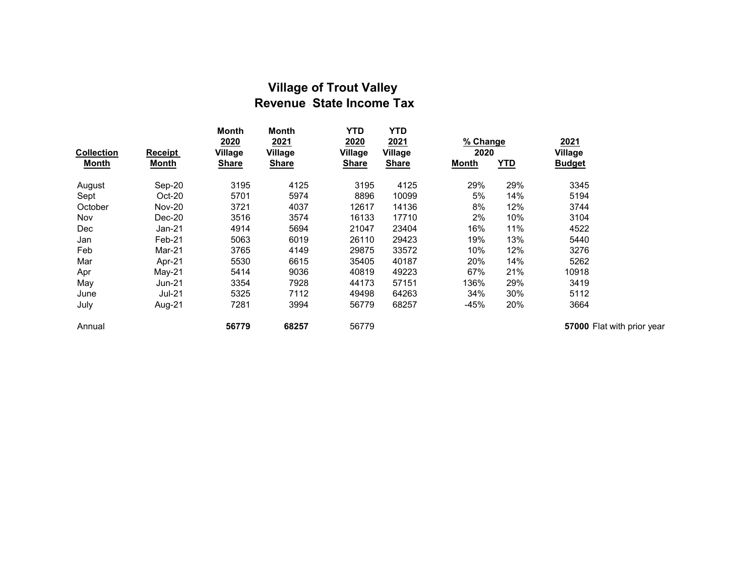## Village of Trout Valley Revenue State Income Tax

| <b>Collection</b><br>Month | <b>Receipt</b><br><b>Month</b> | <b>Month</b><br>2020<br><b>Village</b><br><b>Share</b> | Month<br>2021<br>Village<br><b>Share</b> | <b>YTD</b><br>2020<br><b>Village</b><br><b>Share</b> | <b>YTD</b><br>2021<br>Village<br><b>Share</b> | % Change<br>2020<br><b>YTD</b><br>Month |     | 2021<br>Village<br><b>Budget</b> |
|----------------------------|--------------------------------|--------------------------------------------------------|------------------------------------------|------------------------------------------------------|-----------------------------------------------|-----------------------------------------|-----|----------------------------------|
| August                     | Sep-20                         | 3195                                                   | 4125                                     | 3195                                                 | 4125                                          | 29%                                     | 29% | 3345                             |
| Sept                       | Oct-20                         | 5701                                                   | 5974                                     | 8896                                                 | 10099                                         | 5%                                      | 14% | 5194                             |
| October                    | <b>Nov-20</b>                  | 3721                                                   | 4037                                     | 12617                                                | 14136                                         | 8%                                      | 12% | 3744                             |
| Nov                        | $Dec-20$                       | 3516                                                   | 3574                                     | 16133                                                | 17710                                         | 2%                                      | 10% | 3104                             |
| Dec                        | $Jan-21$                       | 4914                                                   | 5694                                     | 21047                                                | 23404                                         | 16%                                     | 11% | 4522                             |
| Jan                        | Feb-21                         | 5063                                                   | 6019                                     | 26110                                                | 29423                                         | 19%                                     | 13% | 5440                             |
| Feb                        | Mar-21                         | 3765                                                   | 4149                                     | 29875                                                | 33572                                         | 10%                                     | 12% | 3276                             |
| Mar                        | Apr-21                         | 5530                                                   | 6615                                     | 35405                                                | 40187                                         | 20%                                     | 14% | 5262                             |
| Apr                        | $May-21$                       | 5414                                                   | 9036                                     | 40819                                                | 49223                                         | 67%                                     | 21% | 10918                            |
| May                        | Jun-21                         | 3354                                                   | 7928                                     | 44173                                                | 57151                                         | 136%                                    | 29% | 3419                             |
| June                       | <b>Jul-21</b>                  | 5325                                                   | 7112                                     | 49498                                                | 64263                                         | 34%                                     | 30% | 5112                             |
| July                       | Aug-21                         | 7281                                                   | 3994                                     | 56779                                                | 68257                                         | $-45%$                                  | 20% | 3664                             |
| Annual                     |                                | 56779                                                  | 68257                                    | 56779                                                |                                               |                                         |     | 57000 F                          |

Flat with prior year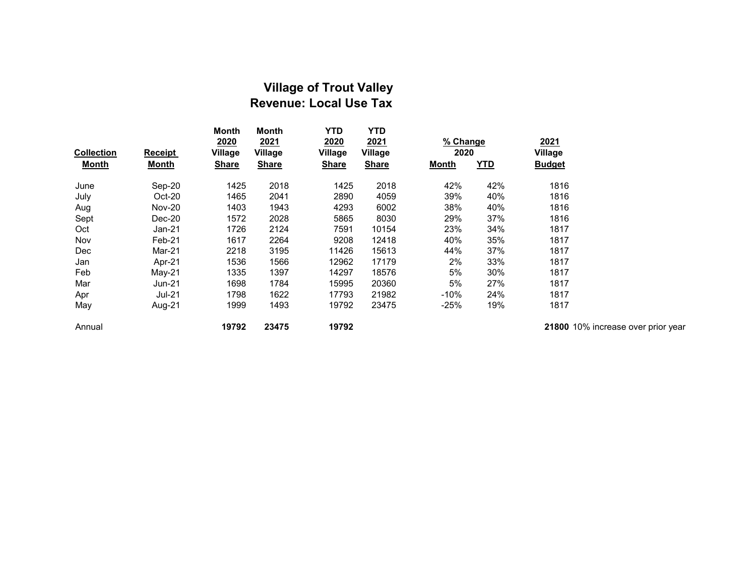## Village of Trout Valley Revenue: Local Use Tax

| <b>Collection</b> | Receipt       | <b>Month</b><br>2020<br>Village | <b>Month</b><br>2021<br>Village | <b>YTD</b><br>2020<br><b>Village</b> | <b>YTD</b><br>2021<br><b>Village</b> | % Change<br>2020 |            | 2021<br><b>Village</b> |
|-------------------|---------------|---------------------------------|---------------------------------|--------------------------------------|--------------------------------------|------------------|------------|------------------------|
| <b>Month</b>      | <b>Month</b>  | <b>Share</b>                    | <b>Share</b>                    | <b>Share</b>                         | <b>Share</b>                         | <b>Month</b>     | <u>YTD</u> | <b>Budget</b>          |
| June              | Sep-20        | 1425                            | 2018                            | 1425                                 | 2018                                 | 42%              | 42%        | 1816                   |
| July              | $Oct-20$      | 1465                            | 2041                            | 2890                                 | 4059                                 | 39%              | 40%        | 1816                   |
| Aug               | <b>Nov-20</b> | 1403                            | 1943                            | 4293                                 | 6002                                 | 38%              | 40%        | 1816                   |
| Sept              | $Dec-20$      | 1572                            | 2028                            | 5865                                 | 8030                                 | 29%              | 37%        | 1816                   |
| Oct               | Jan-21        | 1726                            | 2124                            | 7591                                 | 10154                                | 23%              | 34%        | 1817                   |
| Nov               | $Feb-21$      | 1617                            | 2264                            | 9208                                 | 12418                                | 40%              | 35%        | 1817                   |
| Dec               | Mar-21        | 2218                            | 3195                            | 11426                                | 15613                                | 44%              | 37%        | 1817                   |
| Jan               | Apr-21        | 1536                            | 1566                            | 12962                                | 17179                                | 2%               | 33%        | 1817                   |
| Feb               | $May-21$      | 1335                            | 1397                            | 14297                                | 18576                                | 5%               | 30%        | 1817                   |
| Mar               | Jun-21        | 1698                            | 1784                            | 15995                                | 20360                                | 5%               | 27%        | 1817                   |
| Apr               | Jul-21        | 1798                            | 1622                            | 17793                                | 21982                                | $-10%$           | 24%        | 1817                   |
| May               | Aug-21        | 1999                            | 1493                            | 19792                                | 23475                                | $-25%$           | 19%        | 1817                   |
| Annual            |               | 19792                           | 23475                           | 19792                                |                                      |                  |            | 21800 1                |

10% increase over prior year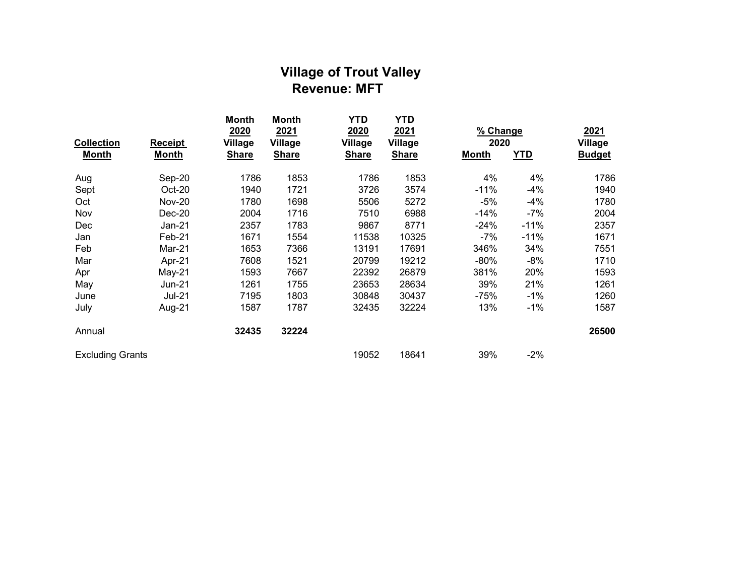## Village of Trout Valley Revenue: MFT

| <b>Collection</b>       | <b>Receipt</b> | <b>Month</b><br>2020<br><b>Village</b> | <b>Month</b><br>2021<br>Village | YTD<br>2020<br><b>Village</b> | <b>YTD</b><br>2021<br><b>Village</b> | % Change<br>2020 |            | 2021<br><b>Village</b> |
|-------------------------|----------------|----------------------------------------|---------------------------------|-------------------------------|--------------------------------------|------------------|------------|------------------------|
| <b>Month</b>            | <b>Month</b>   | <b>Share</b>                           | <b>Share</b>                    | <b>Share</b>                  | <b>Share</b>                         | <b>Month</b>     | <b>YTD</b> | <b>Budget</b>          |
| Aug                     | Sep-20         | 1786                                   | 1853                            | 1786                          | 1853                                 | 4%               | 4%         | 1786                   |
| Sept                    | Oct-20         | 1940                                   | 1721                            | 3726                          | 3574                                 | $-11%$           | $-4%$      | 1940                   |
| Oct                     | <b>Nov-20</b>  | 1780                                   | 1698                            | 5506                          | 5272                                 | -5%              | $-4%$      | 1780                   |
| Nov                     | $Dec-20$       | 2004                                   | 1716                            | 7510                          | 6988                                 | -14%             | -7%        | 2004                   |
| Dec                     | Jan-21         | 2357                                   | 1783                            | 9867                          | 8771                                 | $-24%$           | $-11%$     | 2357                   |
| Jan                     | Feb-21         | 1671                                   | 1554                            | 11538                         | 10325                                | -7%              | $-11%$     | 1671                   |
| Feb                     | Mar-21         | 1653                                   | 7366                            | 13191                         | 17691                                | 346%             | 34%        | 7551                   |
| Mar                     | Apr-21         | 7608                                   | 1521                            | 20799                         | 19212                                | -80%             | $-8%$      | 1710                   |
| Apr                     | May-21         | 1593                                   | 7667                            | 22392                         | 26879                                | 381%             | 20%        | 1593                   |
| May                     | Jun-21         | 1261                                   | 1755                            | 23653                         | 28634                                | 39%              | 21%        | 1261                   |
| June                    | <b>Jul-21</b>  | 7195                                   | 1803                            | 30848                         | 30437                                | $-75%$           | $-1%$      | 1260                   |
| July                    | Aug-21         | 1587                                   | 1787                            | 32435                         | 32224                                | 13%              | $-1%$      | 1587                   |
| Annual                  |                | 32435                                  | 32224                           |                               |                                      |                  |            | 26500                  |
| <b>Excluding Grants</b> |                |                                        |                                 | 19052                         | 18641                                | 39%              | $-2%$      |                        |